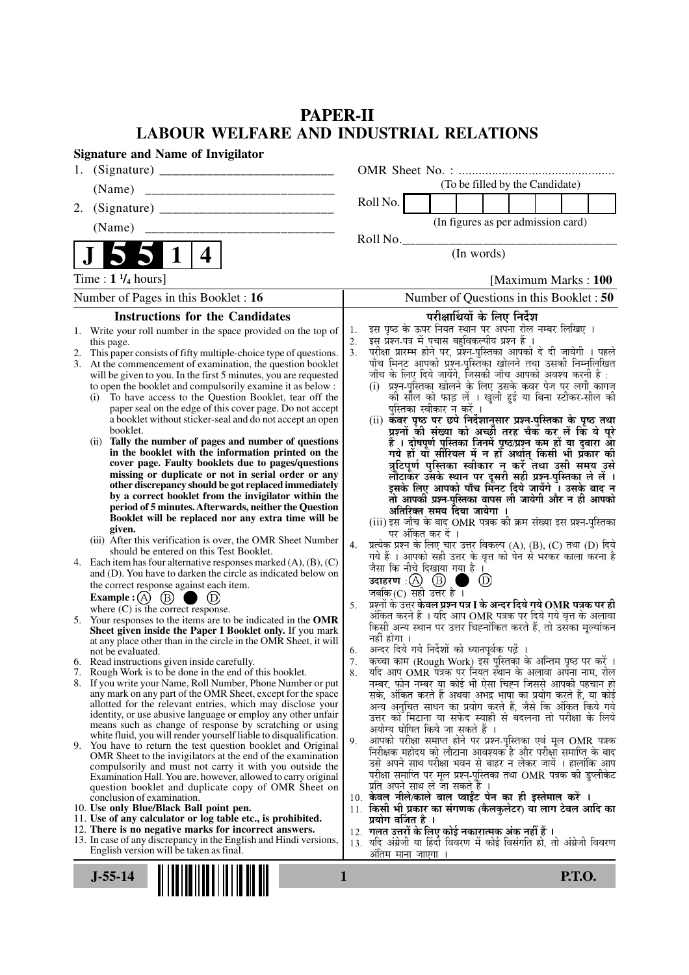# **PAPER-II LABOUR WELFARE AND INDUSTRIAL RELATIONS**

| <b>Signature and Name of Invigilator</b>                                                                                                                                                                                                                                                                                                                                                                                                                                                                                                                                                                                                                                                                                                                                                                                                                                                                                                                                                                                                                                                                                                                                                                                                                                                                                                                                                                                                                                                                                                                                                                                                                                                                                                                                                                                                                                                                                                                                                                                                                                |                                                                                                                                                                                                                                                                                                                                                                                                                                                                                                                                                                                                                                                                                                                                                                                                                                                                                                                                                                                                                                                                                                                                                                                                                                                                                                                                                                                                                                                                                                                                                                                                                                                                                                                                                                                                                                                                                                                                                                                                                                                              |
|-------------------------------------------------------------------------------------------------------------------------------------------------------------------------------------------------------------------------------------------------------------------------------------------------------------------------------------------------------------------------------------------------------------------------------------------------------------------------------------------------------------------------------------------------------------------------------------------------------------------------------------------------------------------------------------------------------------------------------------------------------------------------------------------------------------------------------------------------------------------------------------------------------------------------------------------------------------------------------------------------------------------------------------------------------------------------------------------------------------------------------------------------------------------------------------------------------------------------------------------------------------------------------------------------------------------------------------------------------------------------------------------------------------------------------------------------------------------------------------------------------------------------------------------------------------------------------------------------------------------------------------------------------------------------------------------------------------------------------------------------------------------------------------------------------------------------------------------------------------------------------------------------------------------------------------------------------------------------------------------------------------------------------------------------------------------------|--------------------------------------------------------------------------------------------------------------------------------------------------------------------------------------------------------------------------------------------------------------------------------------------------------------------------------------------------------------------------------------------------------------------------------------------------------------------------------------------------------------------------------------------------------------------------------------------------------------------------------------------------------------------------------------------------------------------------------------------------------------------------------------------------------------------------------------------------------------------------------------------------------------------------------------------------------------------------------------------------------------------------------------------------------------------------------------------------------------------------------------------------------------------------------------------------------------------------------------------------------------------------------------------------------------------------------------------------------------------------------------------------------------------------------------------------------------------------------------------------------------------------------------------------------------------------------------------------------------------------------------------------------------------------------------------------------------------------------------------------------------------------------------------------------------------------------------------------------------------------------------------------------------------------------------------------------------------------------------------------------------------------------------------------------------|
| 1.                                                                                                                                                                                                                                                                                                                                                                                                                                                                                                                                                                                                                                                                                                                                                                                                                                                                                                                                                                                                                                                                                                                                                                                                                                                                                                                                                                                                                                                                                                                                                                                                                                                                                                                                                                                                                                                                                                                                                                                                                                                                      |                                                                                                                                                                                                                                                                                                                                                                                                                                                                                                                                                                                                                                                                                                                                                                                                                                                                                                                                                                                                                                                                                                                                                                                                                                                                                                                                                                                                                                                                                                                                                                                                                                                                                                                                                                                                                                                                                                                                                                                                                                                              |
| (Name)                                                                                                                                                                                                                                                                                                                                                                                                                                                                                                                                                                                                                                                                                                                                                                                                                                                                                                                                                                                                                                                                                                                                                                                                                                                                                                                                                                                                                                                                                                                                                                                                                                                                                                                                                                                                                                                                                                                                                                                                                                                                  | (To be filled by the Candidate)                                                                                                                                                                                                                                                                                                                                                                                                                                                                                                                                                                                                                                                                                                                                                                                                                                                                                                                                                                                                                                                                                                                                                                                                                                                                                                                                                                                                                                                                                                                                                                                                                                                                                                                                                                                                                                                                                                                                                                                                                              |
| 2.                                                                                                                                                                                                                                                                                                                                                                                                                                                                                                                                                                                                                                                                                                                                                                                                                                                                                                                                                                                                                                                                                                                                                                                                                                                                                                                                                                                                                                                                                                                                                                                                                                                                                                                                                                                                                                                                                                                                                                                                                                                                      | Roll No.                                                                                                                                                                                                                                                                                                                                                                                                                                                                                                                                                                                                                                                                                                                                                                                                                                                                                                                                                                                                                                                                                                                                                                                                                                                                                                                                                                                                                                                                                                                                                                                                                                                                                                                                                                                                                                                                                                                                                                                                                                                     |
| (Name)                                                                                                                                                                                                                                                                                                                                                                                                                                                                                                                                                                                                                                                                                                                                                                                                                                                                                                                                                                                                                                                                                                                                                                                                                                                                                                                                                                                                                                                                                                                                                                                                                                                                                                                                                                                                                                                                                                                                                                                                                                                                  | (In figures as per admission card)                                                                                                                                                                                                                                                                                                                                                                                                                                                                                                                                                                                                                                                                                                                                                                                                                                                                                                                                                                                                                                                                                                                                                                                                                                                                                                                                                                                                                                                                                                                                                                                                                                                                                                                                                                                                                                                                                                                                                                                                                           |
|                                                                                                                                                                                                                                                                                                                                                                                                                                                                                                                                                                                                                                                                                                                                                                                                                                                                                                                                                                                                                                                                                                                                                                                                                                                                                                                                                                                                                                                                                                                                                                                                                                                                                                                                                                                                                                                                                                                                                                                                                                                                         | Roll No.                                                                                                                                                                                                                                                                                                                                                                                                                                                                                                                                                                                                                                                                                                                                                                                                                                                                                                                                                                                                                                                                                                                                                                                                                                                                                                                                                                                                                                                                                                                                                                                                                                                                                                                                                                                                                                                                                                                                                                                                                                                     |
| 4                                                                                                                                                                                                                                                                                                                                                                                                                                                                                                                                                                                                                                                                                                                                                                                                                                                                                                                                                                                                                                                                                                                                                                                                                                                                                                                                                                                                                                                                                                                                                                                                                                                                                                                                                                                                                                                                                                                                                                                                                                                                       | (In words)                                                                                                                                                                                                                                                                                                                                                                                                                                                                                                                                                                                                                                                                                                                                                                                                                                                                                                                                                                                                                                                                                                                                                                                                                                                                                                                                                                                                                                                                                                                                                                                                                                                                                                                                                                                                                                                                                                                                                                                                                                                   |
| Time : $1 \frac{1}{4}$ hours]                                                                                                                                                                                                                                                                                                                                                                                                                                                                                                                                                                                                                                                                                                                                                                                                                                                                                                                                                                                                                                                                                                                                                                                                                                                                                                                                                                                                                                                                                                                                                                                                                                                                                                                                                                                                                                                                                                                                                                                                                                           | [Maximum Marks: 100                                                                                                                                                                                                                                                                                                                                                                                                                                                                                                                                                                                                                                                                                                                                                                                                                                                                                                                                                                                                                                                                                                                                                                                                                                                                                                                                                                                                                                                                                                                                                                                                                                                                                                                                                                                                                                                                                                                                                                                                                                          |
| Number of Pages in this Booklet : 16                                                                                                                                                                                                                                                                                                                                                                                                                                                                                                                                                                                                                                                                                                                                                                                                                                                                                                                                                                                                                                                                                                                                                                                                                                                                                                                                                                                                                                                                                                                                                                                                                                                                                                                                                                                                                                                                                                                                                                                                                                    | Number of Questions in this Booklet: 50                                                                                                                                                                                                                                                                                                                                                                                                                                                                                                                                                                                                                                                                                                                                                                                                                                                                                                                                                                                                                                                                                                                                                                                                                                                                                                                                                                                                                                                                                                                                                                                                                                                                                                                                                                                                                                                                                                                                                                                                                      |
| <b>Instructions for the Candidates</b>                                                                                                                                                                                                                                                                                                                                                                                                                                                                                                                                                                                                                                                                                                                                                                                                                                                                                                                                                                                                                                                                                                                                                                                                                                                                                                                                                                                                                                                                                                                                                                                                                                                                                                                                                                                                                                                                                                                                                                                                                                  | परीक्षार्थियों के लिए निर्देश                                                                                                                                                                                                                                                                                                                                                                                                                                                                                                                                                                                                                                                                                                                                                                                                                                                                                                                                                                                                                                                                                                                                                                                                                                                                                                                                                                                                                                                                                                                                                                                                                                                                                                                                                                                                                                                                                                                                                                                                                                |
| 1. Write your roll number in the space provided on the top of<br>this page.<br>2. This paper consists of fifty multiple-choice type of questions.<br>At the commencement of examination, the question booklet<br>3.<br>will be given to you. In the first 5 minutes, you are requested<br>to open the booklet and compulsorily examine it as below :<br>To have access to the Question Booklet, tear off the<br>(i)<br>paper seal on the edge of this cover page. Do not accept<br>a booklet without sticker-seal and do not accept an open<br>booklet.<br>(ii) Tally the number of pages and number of questions<br>in the booklet with the information printed on the<br>cover page. Faulty booklets due to pages/questions<br>missing or duplicate or not in serial order or any<br>other discrepancy should be got replaced immediately<br>by a correct booklet from the invigilator within the<br>period of 5 minutes. Afterwards, neither the Question<br>Booklet will be replaced nor any extra time will be<br>given.<br>(iii) After this verification is over, the OMR Sheet Number<br>should be entered on this Test Booklet.<br>4. Each item has four alternative responses marked $(A)$ , $(B)$ , $(C)$<br>and (D). You have to darken the circle as indicated below on<br>the correct response against each item.<br>Example : $(A)$ $(B)$<br>$\bullet$ (D)<br>where $(C)$ is the correct response.<br>5. Your responses to the items are to be indicated in the OMR<br>Sheet given inside the Paper I Booklet only. If you mark<br>at any place other than in the circle in the OMR Sheet, it will<br>not be evaluated.<br>6. Read instructions given inside carefully.<br>7. Rough Work is to be done in the end of this booklet.<br>8. If you write your Name, Roll Number, Phone Number or put<br>any mark on any part of the OMR Sheet, except for the space<br>allotted for the relevant entries, which may disclose your<br>identity, or use abusive language or employ any other unfair<br>means such as change of response by scratching or using | इस पृष्ठ के ऊपर नियत स्थान पर अपना रोल नम्बर लिखिए ।<br>1.<br>इस प्रश्न-पत्र में पचास बहुविकल्पीय प्रश्न हैं ।<br>2.<br>परीक्षा प्रारम्भ होने पर, प्रॅश्न्-पुस्तिका आपको दे दी जायेगी । पहले<br>3.<br>पाँच मिनट आपको प्रश्न-पुस्तिका खोलने तथा उसकी निम्नलिखित<br>जाँच के लिए दिये जायेंगे, जिसकी जाँच आपको अवश्य करनी है :<br>(i) प्रश्न-पुस्तिका खोलने के लिए उसके कवर पेज पर लगी कागज<br>की सील को फाड़ लें । खुली हुई या बिना स्टीकर-सील की<br>पुस्तिका स्वीकार न करें ।<br>(ii) कॅवर पृष्ठ पर छपे निर्देशानुसार प्रश्न-पुस्तिका के पृष्ठ तथा<br>प्रश्नों की संख्या को अच्छी तरह चैक कर लें कि ये पूरे<br>हैं । दोषपूर्ण पुस्तिका जिनमें पृष्ठ/प्रश्न कम हों या दुबारा आ<br>गये हों या सीरियल में न हो अर्थात् किसी भी प्रकार की<br>त्रुटिपूर्ण पुस्तिका स्वीकार न करें तथा उसी समय उसे<br>लौटाकर उसके स्थान पर दूसरी सही प्रश्न-पुस्तिका ले लें ।<br>इसके लिए आपको पाँच मिंनट दिये जायेंगे ँ। उसके बाद न<br>तो आपकी प्रश्न-पुस्तिका वापस ली जायेगी और न ही आपको<br>अतिरिक्त समय दिया जायेगा ।<br>(iii) इस जाँच के बाद OMR पत्रक की क्रम संख्या इस प्रश्न-पुस्तिका<br>पर अंकित कर दें ।<br>प्रत्येक प्रश्न के लिए चार उत्तर विकल्प (A), (B), (C) तथा (D) दिये<br>4.<br>गये हैं । आपको सही उत्तर के वृत्त को पेन से भरकर काला करना है<br>जैसा कि नीचे दिखाया गया है ।<br>उदाहरण $\,$ :( $\,$ ) $\,$ ( $\,$ ) $\,$ ।<br>(D)<br>जबकि $(C)$ सही उत्तर है ।<br>प्रश्नों के उत्तर <b>केवल प्रश्न पत्र I के अन्दर दिये गये OMR पत्रक पर ही</b><br>5.<br>अंकित करने हैं । यदि आप OMR पत्रक पर दिये गये वृत्त के अलावा<br>किसी अन्य स्थान पर उत्तर चिह्नांकित करते हैं, तो उसका मूल्यांकन<br>नहीं होगा ।<br>अन्दर दिये गये निर्देशों को ध्यानपूर्वक पढ़ें ।<br>6.<br>कच्चा काम (Rough Work) इस पुस्तिका के अन्तिम पृष्ठ पर करें ।<br>7.<br>यदि आप OMR पत्रक पर नियत स्थान के अलावा अपना नाम, रोल<br>8.<br>नम्बर, फोन नम्बर या कोई भी ऐसा चिह्न जिससे आपकी पहचान हो<br>सके, अंकित करते हैं अथवा अभद्र भाषा का प्रयोग करते हैं, या कोई<br>अन्य अनुचित साधन का प्रयोग करते हैं, जैसे कि अंकित किये गये<br>उत्तर को मिटाना या सफेद स्याही से बदलना तो परीक्षा के लिये |
| white fluid, you will render yourself liable to disqualification.<br>9. You have to return the test question booklet and Original<br>OMR Sheet to the invigilators at the end of the examination                                                                                                                                                                                                                                                                                                                                                                                                                                                                                                                                                                                                                                                                                                                                                                                                                                                                                                                                                                                                                                                                                                                                                                                                                                                                                                                                                                                                                                                                                                                                                                                                                                                                                                                                                                                                                                                                        | अयोग्य घोषित किये जा सकते हैं ।<br>आपको परीक्षा समाप्त होने पर प्रश्न-पुस्तिका एवं मूल OMR पत्रक<br>9.<br>निरीक्षक महोदय को लौटाना आवश्यक है और परीक्षा समाप्ति के बाद                                                                                                                                                                                                                                                                                                                                                                                                                                                                                                                                                                                                                                                                                                                                                                                                                                                                                                                                                                                                                                                                                                                                                                                                                                                                                                                                                                                                                                                                                                                                                                                                                                                                                                                                                                                                                                                                                       |
| compulsorily and must not carry it with you outside the<br>Examination Hall. You are, however, allowed to carry original<br>question booklet and duplicate copy of OMR Sheet on<br>conclusion of examination.<br>10. Use only Blue/Black Ball point pen.<br>11. Use of any calculator or log table etc., is prohibited.<br>12. There is no negative marks for incorrect answers.<br>13. In case of any discrepancy in the English and Hindi versions,<br>English version will be taken as final.                                                                                                                                                                                                                                                                                                                                                                                                                                                                                                                                                                                                                                                                                                                                                                                                                                                                                                                                                                                                                                                                                                                                                                                                                                                                                                                                                                                                                                                                                                                                                                        | उसे अपने साथ परीक्षा भवन से बाहर न लेकर जायें । हालांकि आप<br>परीक्षा समाप्ति पर मूल प्रश्न-पुस्तिका तथा OMR पत्रक की डुप्लीकेट<br>प्रति अपने साथ ले जा सकते हैं ।<br>10. केवल नीले/काले बाल प्वाईंट पेन का ही इस्तेमाल करें ।<br>11. किसी भी प्रकार का संगणक (कैलकुलेटर) या लाग टेबल आदि का<br>प्रयोग वर्जित है ।<br>12.  गलत उत्तरों के लिए कोई नकारात्मक अंक नहीं हैं ।<br>13. यदि अंग्रेजी या हिंदी विवरण में कोई विसंगति हो, तो अंग्रेजी विवरण                                                                                                                                                                                                                                                                                                                                                                                                                                                                                                                                                                                                                                                                                                                                                                                                                                                                                                                                                                                                                                                                                                                                                                                                                                                                                                                                                                                                                                                                                                                                                                                                          |
|                                                                                                                                                                                                                                                                                                                                                                                                                                                                                                                                                                                                                                                                                                                                                                                                                                                                                                                                                                                                                                                                                                                                                                                                                                                                                                                                                                                                                                                                                                                                                                                                                                                                                                                                                                                                                                                                                                                                                                                                                                                                         | अंतिम माना जाएगा                                                                                                                                                                                                                                                                                                                                                                                                                                                                                                                                                                                                                                                                                                                                                                                                                                                                                                                                                                                                                                                                                                                                                                                                                                                                                                                                                                                                                                                                                                                                                                                                                                                                                                                                                                                                                                                                                                                                                                                                                                             |
| $J-55-14$                                                                                                                                                                                                                                                                                                                                                                                                                                                                                                                                                                                                                                                                                                                                                                                                                                                                                                                                                                                                                                                                                                                                                                                                                                                                                                                                                                                                                                                                                                                                                                                                                                                                                                                                                                                                                                                                                                                                                                                                                                                               | 1<br><b>P.T.O.</b>                                                                                                                                                                                                                                                                                                                                                                                                                                                                                                                                                                                                                                                                                                                                                                                                                                                                                                                                                                                                                                                                                                                                                                                                                                                                                                                                                                                                                                                                                                                                                                                                                                                                                                                                                                                                                                                                                                                                                                                                                                           |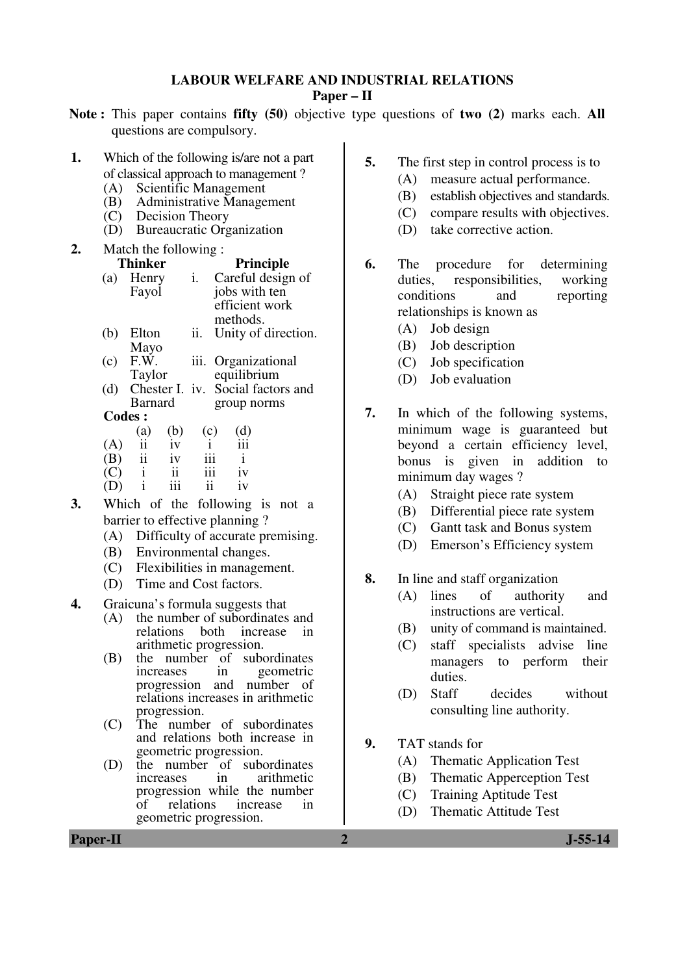#### **LABOUR WELFARE AND INDUSTRIAL RELATIONS**

**Paper – II** 

- **Note :** This paper contains **fifty (50)** objective type questions of **two (2)** marks each. **All** questions are compulsory.
- **1.** Which of the following is/are not a part of classical approach to management ?
	- (A) Scientific Management
	- (B) Administrative Management
	- (C) Decision Theory
	- (D) Bureaucratic Organization
- **2.** Match the following : **Principle**<br>**The Careful design** (a) Henry Fayol Careful design of jobs with ten efficient work methods. (b) Elton
	- Mayo ii. Unity of direction.
	- $(c)$  F.W. Taylor iii. Organizational equilibrium
	- (d) Chester I. iv. Social factors and Barnard group norms
	- **Codes :**
- (a) (b) (c) (d)  $(A)$  ii iv i iii (B) ii iv iii i  $(C)$  i ii iii iv
	- $(D)$  i iii ii iv
- **3.** Which of the following is not a barrier to effective planning ?
	- (A) Difficulty of accurate premising.
	- (B) Environmental changes.
	- (C) Flexibilities in management.
	- (D) Time and Cost factors.
- **4.** Graicuna's formula suggests that
	- (A) the number of subordinates and<br>relations both increase in relations both arithmetic progression.
	- (B) the number of subordinates increases in geometric progression and number of relations increases in arithmetic progression.
	- (C) The number of subordinates and relations both increase in geometric progression.
	- (D) the number of subordinates<br>in arithmetic arithmetic progression while the number<br>of relations increase in relations increase in geometric progression.
- **5.** The first step in control process is to
	- (A) measure actual performance.
	- (B) establish objectives and standards.
	- (C) compare results with objectives.
	- (D) take corrective action.
- **6.** The procedure for determining duties, responsibilities, working conditions and reporting relationships is known as
	- (A) Job design
	- (B) Job description
	- (C) Job specification
	- (D) Job evaluation
- **7.** In which of the following systems, minimum wage is guaranteed but beyond a certain efficiency level, bonus is given in addition to minimum day wages ?
	- (A) Straight piece rate system
	- (B) Differential piece rate system
	- (C) Gantt task and Bonus system
	- (D) Emerson's Efficiency system
- **8.** In line and staff organization
	- (A) lines of authority and instructions are vertical.
	- (B) unity of command is maintained.
	- (C) staff specialists advise line managers to perform their duties.
	- (D) Staff decides without consulting line authority.
- **9.** TAT stands for
	- (A) Thematic Application Test
	- (B) Thematic Apperception Test
	- (C) Training Aptitude Test
	- (D) Thematic Attitude Test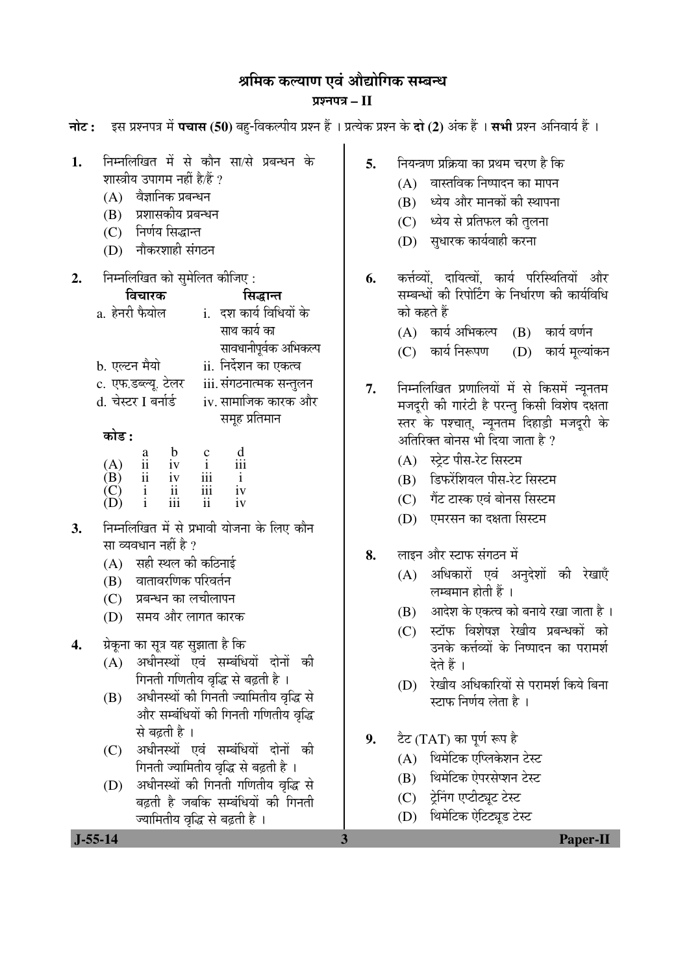# श्रमिक कल्याण एवं ओद्योगिक सम्बन्ध

## ¯ÖÏ¿®Ö¯Ö¡Ö **– II**

| $J-55-14$                                         | 3                                                                                                                                                                                                                                                                                                                                                                                                                                                                                                                                                                                                                                                                      | Paper-II                                                               |
|---------------------------------------------------|------------------------------------------------------------------------------------------------------------------------------------------------------------------------------------------------------------------------------------------------------------------------------------------------------------------------------------------------------------------------------------------------------------------------------------------------------------------------------------------------------------------------------------------------------------------------------------------------------------------------------------------------------------------------|------------------------------------------------------------------------|
| ज्यामितीय वृद्धि से बढ़ती है ।                    |                                                                                                                                                                                                                                                                                                                                                                                                                                                                                                                                                                                                                                                                        | थिमेटिक ऐटिट्यूड टेस्ट<br>(D)                                          |
| अधीनस्थों की गिनती गणितीय वृद्धि से<br>(D)        |                                                                                                                                                                                                                                                                                                                                                                                                                                                                                                                                                                                                                                                                        | थिमेटिक ऐपरसेप्शन टेस्ट<br>(B)<br>ट्रेनिंग एप्टीट्यूट टेस्ट<br>(C)     |
| अधीनस्थों एवं सम्बंधियों दोनों की<br>(C)          |                                                                                                                                                                                                                                                                                                                                                                                                                                                                                                                                                                                                                                                                        | टैट (TAT) का पूर्ण रूप है<br>थिमेटिक एप्लिकेशन टेस्ट<br>(A)            |
| से बढ़ती है ।                                     |                                                                                                                                                                                                                                                                                                                                                                                                                                                                                                                                                                                                                                                                        |                                                                        |
| अधीनस्थों की गिनती ज्यामितीय वृद्धि से<br>(B)     |                                                                                                                                                                                                                                                                                                                                                                                                                                                                                                                                                                                                                                                                        | रेखीय अधिकारियों से परामर्श किये बिना<br>(D)<br>स्टाफ निर्णय लेता है । |
| अधीनस्थों एवं सम्बंधियों दोनों की<br>(A)          |                                                                                                                                                                                                                                                                                                                                                                                                                                                                                                                                                                                                                                                                        | देते हैं ।                                                             |
| ग्रेकूना का सूत्र यह सुझाता है कि                 |                                                                                                                                                                                                                                                                                                                                                                                                                                                                                                                                                                                                                                                                        | उनके कर्त्तव्यों के निष्पादन का परामर्श                                |
|                                                   |                                                                                                                                                                                                                                                                                                                                                                                                                                                                                                                                                                                                                                                                        | (B)<br>स्टॉफ विशेषज्ञ रेखीय प्रबन्धकों को<br>(C)                       |
| (C) प्रबन्धन का लचीलापन                           |                                                                                                                                                                                                                                                                                                                                                                                                                                                                                                                                                                                                                                                                        | लम्बमान होती हैं ।<br>आदेश के एकत्व को बनाये रखा जाता है ।             |
| (B) वातावरणिक परिवर्तन                            |                                                                                                                                                                                                                                                                                                                                                                                                                                                                                                                                                                                                                                                                        | अधिकारों एवं अनुदेशों की रेखाएँ<br>(A)                                 |
|                                                   | 8.                                                                                                                                                                                                                                                                                                                                                                                                                                                                                                                                                                                                                                                                     | लाइन और स्टाफ संगठन में                                                |
| निम्नलिखित में से प्रभावी योजना के लिए कौन        |                                                                                                                                                                                                                                                                                                                                                                                                                                                                                                                                                                                                                                                                        | एमरसन का दक्षता सिस्टम<br>(D)                                          |
| $\mathbf{i}$<br>iii<br>iv<br>$\mathbf{ii}$        |                                                                                                                                                                                                                                                                                                                                                                                                                                                                                                                                                                                                                                                                        | गैंट टास्क एवं बोनस सिस्टम<br>(C)                                      |
|                                                   |                                                                                                                                                                                                                                                                                                                                                                                                                                                                                                                                                                                                                                                                        | डिफरेंशियल पीस-रेट सिस्टम<br>(B)                                       |
| (A)                                               |                                                                                                                                                                                                                                                                                                                                                                                                                                                                                                                                                                                                                                                                        | (A) स्ट्रेट पीस-रेट सिस्टम                                             |
|                                                   |                                                                                                                                                                                                                                                                                                                                                                                                                                                                                                                                                                                                                                                                        | अतिरिक्त बोनस भी दिया जाता है ?                                        |
|                                                   |                                                                                                                                                                                                                                                                                                                                                                                                                                                                                                                                                                                                                                                                        | स्तर के पश्चात्, न्यूनतम दिहाड़ी मजदूरी के                             |
| d. चेस्टर I बर्नार्ड<br>iv. सामाजिक कारक और       |                                                                                                                                                                                                                                                                                                                                                                                                                                                                                                                                                                                                                                                                        | मजदूरी की गारंटी है परन्तु किसी विशेष दक्षता                           |
| c. एफ.डब्ल्यू. टेलर<br>iii. संगठनात्मक सन्तुलन    |                                                                                                                                                                                                                                                                                                                                                                                                                                                                                                                                                                                                                                                                        | निम्नलिखित प्रणालियों में से किसमें न्यूनतम                            |
|                                                   |                                                                                                                                                                                                                                                                                                                                                                                                                                                                                                                                                                                                                                                                        | कार्य निरूपण<br>(D) कार्य मूल्यांकन<br>(C)                             |
|                                                   |                                                                                                                                                                                                                                                                                                                                                                                                                                                                                                                                                                                                                                                                        | (A) कार्य अभिकल्प (B) कार्य वर्णन                                      |
| a. हेनरी फैयोल<br><u>i.   दश कार्य विधियों के</u> |                                                                                                                                                                                                                                                                                                                                                                                                                                                                                                                                                                                                                                                                        | को कहते हैं                                                            |
| विचारक<br>सिद्धान्त                               |                                                                                                                                                                                                                                                                                                                                                                                                                                                                                                                                                                                                                                                                        | सम्बन्धों की रिपोर्टिंग के निर्धारण की कार्यविधि                       |
|                                                   | 6.                                                                                                                                                                                                                                                                                                                                                                                                                                                                                                                                                                                                                                                                     | कर्त्तव्यों, दायित्वों, कार्य परिस्थितियों और                          |
| (D) नौकरशाही संगठन                                |                                                                                                                                                                                                                                                                                                                                                                                                                                                                                                                                                                                                                                                                        | (D) सुधारक कार्यवाही करना                                              |
| (C) निर्णय सिद्धान्त                              |                                                                                                                                                                                                                                                                                                                                                                                                                                                                                                                                                                                                                                                                        | (C) ध्येय से प्रतिफल की तुलना                                          |
|                                                   |                                                                                                                                                                                                                                                                                                                                                                                                                                                                                                                                                                                                                                                                        | ध्येय और मानकों की स्थापना<br>(B)                                      |
|                                                   |                                                                                                                                                                                                                                                                                                                                                                                                                                                                                                                                                                                                                                                                        | वास्तविक निष्पादन का मापन<br>(A)                                       |
| निम्नलिखित में से कौन सा/से प्रबन्धन के           | 5.                                                                                                                                                                                                                                                                                                                                                                                                                                                                                                                                                                                                                                                                     | नियन्त्रण प्रक्रिया का प्रथम चरण है कि                                 |
|                                                   |                                                                                                                                                                                                                                                                                                                                                                                                                                                                                                                                                                                                                                                                        |                                                                        |
|                                                   | शास्त्रीय उपागम नहीं है/हैं ?<br>(A) वैज्ञानिक प्रबन्धन<br>(B) प्रशासकीय प्रबन्धन<br>निम्नलिखित को सुमेलित कीजिए:<br>साथ कार्य का<br>सावधानीपूर्वक अभिकल्प<br>b. एल्टन मैयो<br>ii. निर्देशन का एकत्व<br>समूह प्रतिमान<br>कोड :<br>$\frac{d}{d}$<br>$\begin{array}{ccc} a & b & c \\ ii & iv & i \\ ii & iv & iii \end{array}$<br>(B)<br>$\mathbf{i}$<br>iii<br>ii<br>$\overline{(\text{C})}$<br>$(\text{D})$<br>$\mathbf{i}$<br>iv<br>सा व्यवधान नहीं है ?<br>(A) सही स्थल की कठिनाई<br>(D) समय और लागत कारक<br>गिनती गणितीय वृद्धि से बढ़ती है ।<br>और सम्बंधियों की गिनती गणितीय वृद्धि<br>गिनती ज्यामितीय वृद्धि से बढ़ती है ।<br>बढ़ती है जबकि सम्बंधियों की गिनती | 7.<br>9.                                                               |

**नोट: दस प्रश्नपत्र में पचास (50)** बह-विकल्पीय प्रश्न हैं । प्रत्येक प्रश्न के **दो (2)** अंक हैं । **सभी** प्रश्न अनिवार्य हैं ।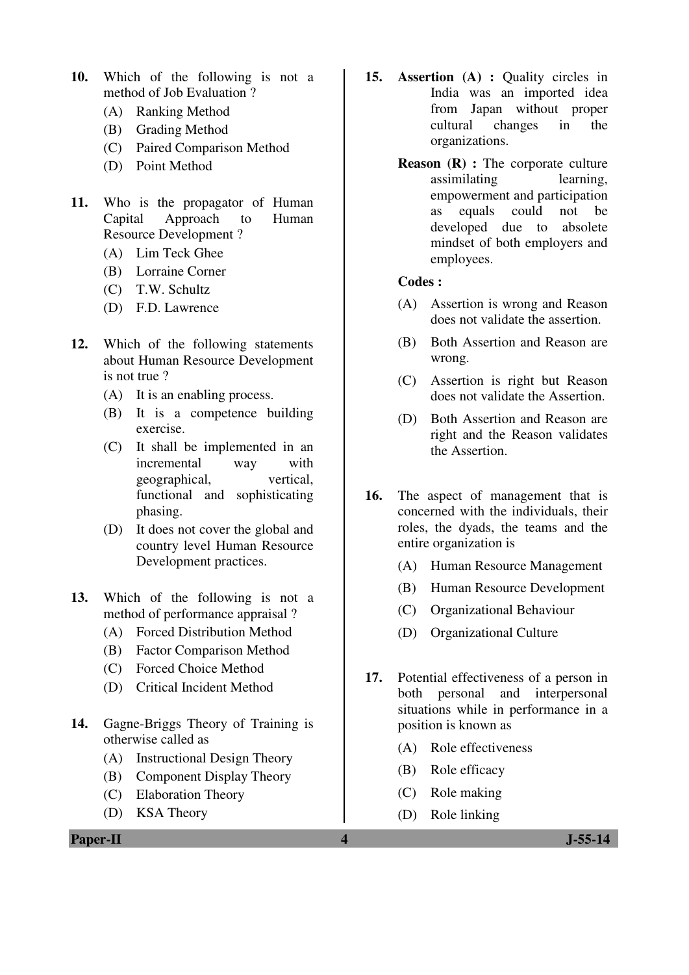- **10.** Which of the following is not a method of Job Evaluation ?
	- (A) Ranking Method
	- (B) Grading Method
	- (C) Paired Comparison Method
	- (D) Point Method
- **11.** Who is the propagator of Human Capital Approach to Human Resource Development ?
	- (A) Lim Teck Ghee
	- (B) Lorraine Corner
	- (C) T.W. Schultz
	- (D) F.D. Lawrence
- **12.** Which of the following statements about Human Resource Development is not true ?
	- (A) It is an enabling process.
	- (B) It is a competence building exercise.
	- (C) It shall be implemented in an incremental way with geographical, vertical, functional and sophisticating phasing.
	- (D) It does not cover the global and country level Human Resource Development practices.
- **13.** Which of the following is not a method of performance appraisal ?
	- (A) Forced Distribution Method
	- (B) Factor Comparison Method
	- (C) Forced Choice Method
	- (D) Critical Incident Method
- **14.** Gagne-Briggs Theory of Training is otherwise called as
	- (A) Instructional Design Theory
	- (B) Component Display Theory
	- (C) Elaboration Theory
	- (D) KSA Theory
- **15. Assertion (A) :** Quality circles in India was an imported idea from Japan without proper cultural changes in the organizations.
	- **Reason (R) :** The corporate culture assimilating learning, empowerment and participation as equals could not be developed due to absolete mindset of both employers and employees.

- (A) Assertion is wrong and Reason does not validate the assertion.
- (B) Both Assertion and Reason are wrong.
- (C) Assertion is right but Reason does not validate the Assertion.
- (D) Both Assertion and Reason are right and the Reason validates the Assertion.
- **16.** The aspect of management that is concerned with the individuals, their roles, the dyads, the teams and the entire organization is
	- (A) Human Resource Management
	- (B) Human Resource Development
	- (C) Organizational Behaviour
	- (D) Organizational Culture
- **17.** Potential effectiveness of a person in both personal and interpersonal situations while in performance in a position is known as
	- (A) Role effectiveness
	- (B) Role efficacy
	- (C) Role making
	- (D) Role linking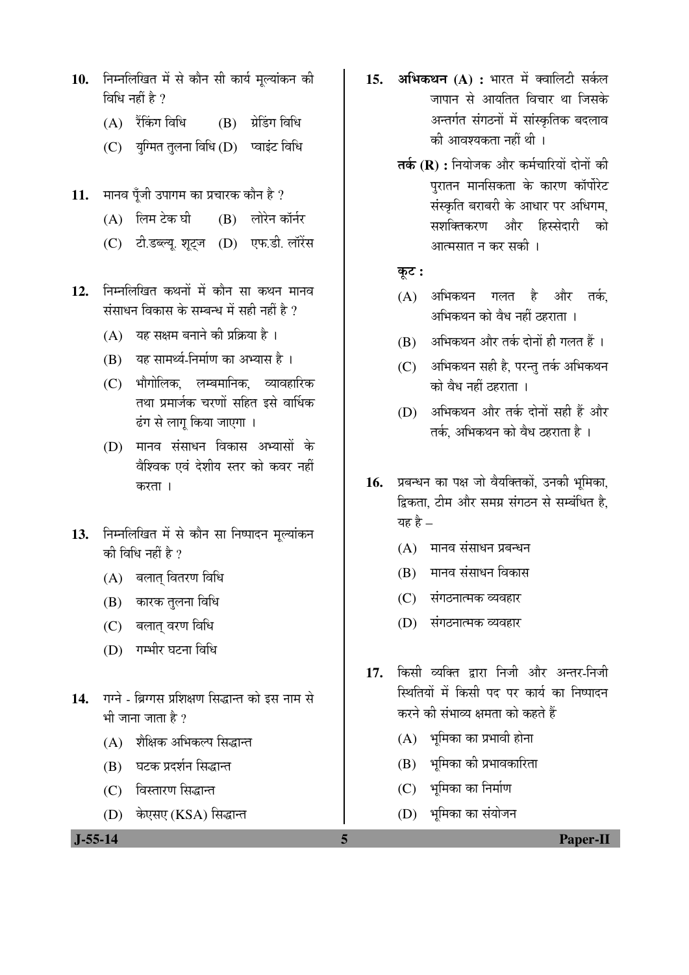- 10. निम्नलिखित में से कौन सी कार्य मूल्यांकन की विधि नहीं है  $\gamma$ 
	- $(A)$  रैंकिंग विधि  $(B)$  ग्रेडिंग विधि
	- $(C)$  युग्मित तुलना विधि  $(D)$  प्वाइंट विधि
- 11. मानव पूँजी उपागम का प्रचारक कौन है ?
	- $(A)$  लिम टेक घी  $(B)$  लोरेन कॉर्नर
	- (C) टी.डब्ल्यू. शूट्ज (D) एफ.डी. लॉरेंस
- 12. निम्नलिखित कथनों में कौन सा कथन मानव संसाधन विकास के सम्बन्ध में सही नहीं है ?
	- $(A)$  यह सक्षम बनाने की प्रक्रिया है ।
	- $(B)$  यह सामर्थ्य-निर्माण का अभ्यास है ।
	- (C) भौगोलिक, लम्बमानिक, व्यावहारिक तथा प्रमार्जक चरणों सहित इसे वार्धिक ढंग से लागू किया जाएगा ।
	- (D) मानव संसाधन विकास अभ्यासों के वैश्विक एवं देशीय स्तर को कवर नहीं करता ।
- 13. निम्नलिखित में से कौन सा निष्पादन मूल्यांकन की विधि नहीं है ?
	- $(A)$  बलात वितरण विधि
	- (B) कारक तलना विधि
	- (C) बलात् वरण विधि
	- (D) गम्भीर घटना विधि
- 14. गग्ने ब्रिग्गस प्रशिक्षण सिद्धान्त को इस नाम से भी जाना जाता है  $\overline{v}$ 
	- (A) शैक्षिक अभिकल्प सिद्धान्त
	- (B) घटक प्रदर्शन सिद्धान्त
	- (C) विस्तारण सिद्धान्त
	- (D) केएसए (KSA) सिद्धान्त

15. **अभिकथन** (A) : भारत में क्वालिटी सर्कल जापान से आयतित विचार था जिसके अन्तर्गत संगठनों में सांस्कृतिक बदलाव की आवश्यकता नहीं थी ।

- **तर्क (R) :** नियोजक और कर्मचारियों दोनों की पुरातन मानसिकता के कारण कॉर्पोरेट संस्कृति बराबरी के आधार पर अधिगम, सशक्तिकरण और हिस्सेदारी को आत्मसात न कर सकी ।
- $\overline{\phi}$ :
- (A) अभिकथन गलत है और तर्क, अभिकथन को वैध नहीं ठहराता ।
- $(B)$  । अभिकथन और तर्क दोनों ही गलत हैं ।
- (C) अभिकथन सही है, परन्तु तर्क अभिकथन को वैध नहीं ठहराता ।
- (D) अभिकथन और तर्क दोनों सही हैं और तर्क, अभिकथन को वैध ठहराता है ।
- 16. प्रबन्धन का पक्ष जो वैयक्तिकों, उनकी भूमिका, द्विकता. टीम और समग्र संगठन से सम्बंधित है. यह है  $-$ 
	- $(A)$  मानव संसाधन प्रबन्धन
	- (B) मानव संसाधन विकास
	- (C) संगठनात्मक व्यवहार
	- (D) संगठनात्मक व्यवहार
- 17. किसी व्यक्ति द्वारा निजी और अन्तर-निजी <u>स्थितियों में किसी पद पर कार्य का निष्पादन</u> करने की संभाव्य क्षमता को कहते हैं
	- $(A)$  भमिका का प्रभावी होना
	- $(B)$  भूमिका की प्रभावकारिता
	- (C) भूमिका का निर्माण
	- (D) भूमिका का संयोजन

 **J-55-14 5 Paper-II**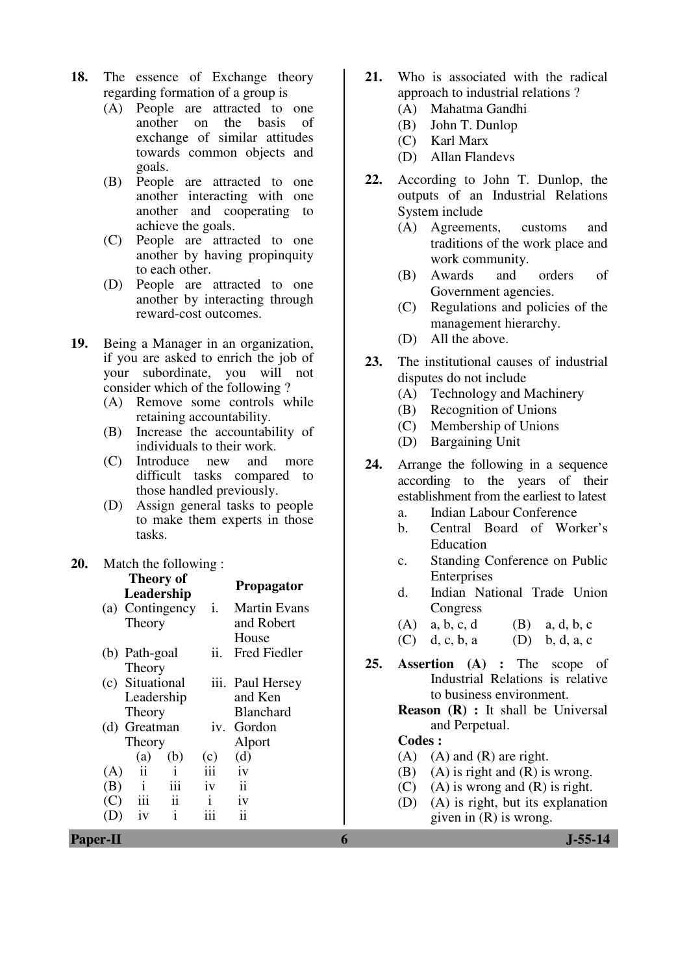- **18.** The essence of Exchange theory regarding formation of a group is
	- (A) People are attracted to one<br>another on the basis of another on the basis of exchange of similar attitudes towards common objects and goals.
	- (B) People are attracted to one another interacting with one another and cooperating to achieve the goals.
	- (C) People are attracted to one another by having propinquity to each other.
	- (D) People are attracted to one another by interacting through reward-cost outcomes.
- **19.** Being a Manager in an organization, if you are asked to enrich the job of your subordinate, you will not consider which of the following ?
	- (A) Remove some controls while retaining accountability.
	- (B) Increase the accountability of individuals to their work.
	- (C) Introduce new and more difficult tasks compared to those handled previously.
	- (D) Assign general tasks to people to make them experts in those tasks.

#### **20.** Match the following : **Theory of**

|                 | і пеогу ог<br>Leadership |              |                 | Propagator          |     | $\mathbf{d}$ . | Little prises | Indian National Trade Union                 |     |            |
|-----------------|--------------------------|--------------|-----------------|---------------------|-----|----------------|---------------|---------------------------------------------|-----|------------|
|                 | (a) Contingency          |              | $\mathbf{1}$ .  | <b>Martin Evans</b> |     |                | Congress      |                                             |     |            |
|                 | Theory                   |              |                 | and Robert          |     | (A)            | a, b, c, d    |                                             | (B) | a, d, b, c |
|                 |                          |              |                 | House               |     | (C)            | d, c, b, a    |                                             | (D) | b, d, a, c |
|                 | (b) Path-goal            |              | ii.             | Fred Fiedler        |     |                |               |                                             |     |            |
|                 | Theory                   |              |                 |                     | 25. |                |               | <b>Assertion</b> (A) : The                  |     | scope of   |
| (c)             | Situational              |              |                 | iii. Paul Hersey    |     |                |               | Industrial Relations is relative            |     |            |
|                 | Leadership               |              |                 | and Ken             |     |                |               | to business environment.                    |     |            |
|                 | Theory                   |              |                 | <b>Blanchard</b>    |     |                |               | <b>Reason</b> $(R)$ : It shall be Universal |     |            |
|                 | (d) Greatman             |              |                 | iv. Gordon          |     |                |               | and Perpetual.                              |     |            |
|                 | Theory                   |              |                 | Alport              |     | <b>Codes:</b>  |               |                                             |     |            |
|                 | (a)                      | (b)          | (c)             | (d)                 |     | (A)            |               | $(A)$ and $(R)$ are right.                  |     |            |
| (A)             | $\ddot{\mathbf{i}}$      |              | iii             | iv                  |     | (B)            |               | $(A)$ is right and $(R)$ is wrong.          |     |            |
| (B)             | $\mathbf{1}$             | iii          | iv              | $\mathbf{ii}$       |     | (C)            |               | $(A)$ is wrong and $(R)$ is right.          |     |            |
| (C)             | iii                      | 11           | $\mathbf{i}$    | iv                  |     | (D)            |               | (A) is right, but its explanation           |     |            |
| (D)             | iv                       | $\mathbf{i}$ | $\cdots$<br>111 | ii                  |     |                |               | given in $(R)$ is wrong.                    |     |            |
| <b>Paper-II</b> |                          |              |                 |                     | 6   |                |               |                                             |     | $J-55-14$  |

- **21.** Who is associated with the radical approach to industrial relations ?
	- (A) Mahatma Gandhi
	- (B) John T. Dunlop
	- (C) Karl Marx
	- (D) Allan Flandevs
- **22.** According to John T. Dunlop, the outputs of an Industrial Relations System include
	- (A) Agreements, customs and traditions of the work place and work community.
	- (B) Awards and orders of Government agencies.
	- (C) Regulations and policies of the management hierarchy.
	- (D) All the above.
- **23.** The institutional causes of industrial disputes do not include
	- (A) Technology and Machinery
	- (B) Recognition of Unions
	- (C) Membership of Unions
	- (D) Bargaining Unit
- **24.** Arrange the following in a sequence according to the years of their establishment from the earliest to latest
	- a. Indian Labour Conference
	- b. Central Board of Worker's Education
	- c. Standing Conference on Public Enterprises
	- d. Indian National Trade Union **Congress**
	- (A) a, b, c, d (B) a, d, b, c

- $(A)$   $(A)$  and  $(R)$  are right.
- (B) (A) is right and  $(R)$  is wrong.
- (C) (A) is wrong and  $(R)$  is right.
- (D) (A) is right, but its explanation given in (R) is wrong.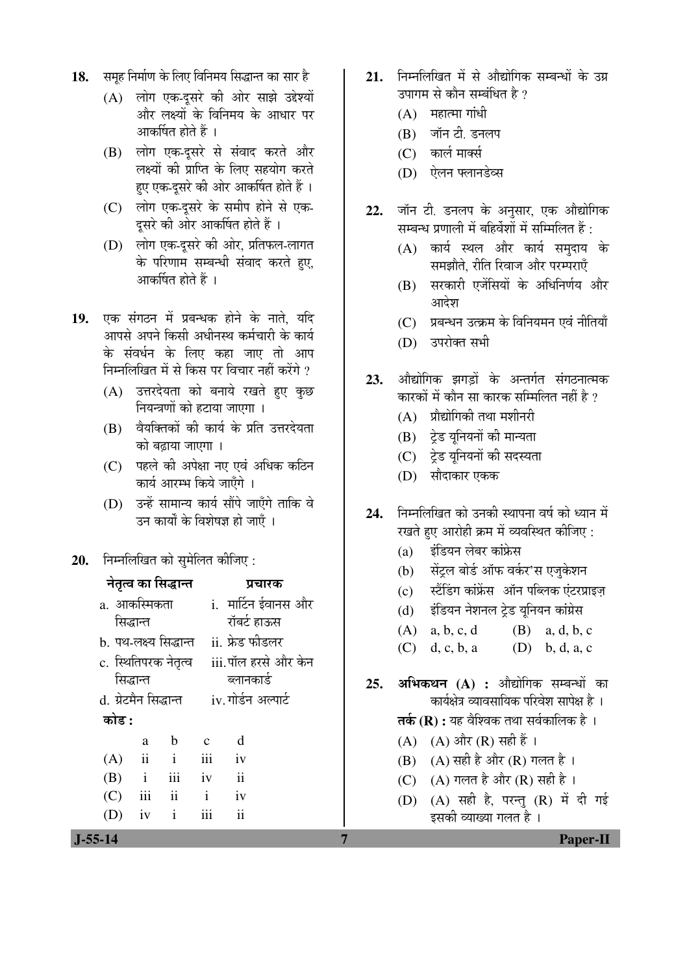- 18. समह निर्माण के लिए विनिमय सिद्धान्त का सार है
	- (A) लोग एक-दुसरे की ओर साझे उद्देश्यों और लक्ष्यों के विनिमय के आधार पर आकर्षित होते हैं ।
	- (B) लोग एक-दसरे से संवाद करते और लक्ष्यों की प्राप्ति के लिए सहयोग करते हए एक-दुसरे की ओर आकर्षित होते हैं ।
	- (C) लोग एक-दुसरे के समीप होने से एक-दूसरे की ओर आकर्षित होते हैं ।
	- (D) लोग एक-दुसरे की ओर, प्रतिफल-लागत के परिणाम सम्बन्धी संवाद करते हए. आकर्षित होते हैं ।
- 19. एक संगठन में प्रबन्धक होने के नाते. यदि आपसे अपने किसी अधीनस्थ कर्मचारी के कार्य के संवर्धन के लिए कहा जाए तो आप निम्नलिखित में से किस पर विचार नहीं करेंगे ?
	- (A) उत्तरदेयता को बनाये रखते हुए कुछ <u>नियन्त्रणों को हटाया जाएगा ।</u>
	- $(B)$  वैयक्तिकों की कार्य के प्रति उत्तरदेयता को बढाया जाएगा ।
	- (C) पहले की अपेक्षा नए एवं अधिक कठिन कार्य आरम्भ किये जाएँगे ।
	- $(D)$  उन्हें सामान्य कार्य सौंपे जाएँगे ताकि वे उन कार्यों के विशेषज्ञ हो जाएँ ।
- 20. **निम्नलिखित को सुमेलित कीजिए**:

#### नेतृत्व का सिद्धान्त प्रचारक a. आकस्मिकता सिद्धान्त i. मार्टिन ईवानस और रॉबर्ट हाऊस b. पथ-लक्ष्य सिद्धान्त ii. फ्रेड फीडलर c. स्थितिपरक नेतृत्व सिद्धान्त iii.पॉल हरसे और केन ब्लानकार्ड d. ग्रेटमैन सिद्धान्त iv. गोर्डन अल्पार्ट 󜅐ݟ **:**  a b c d  $(A)$  ii iii iv (B) i iii iv ii  $(C)$  iii ii i iv (D) iv i iii ii

- 21. निम्नलिखित में से औद्योगिक सम्बन्धों के उग्र उपागम से कौन सम्बंधित है ?
	- $(A)$  महात्मा गांधी
	- (B) जॉन टी. डनलप
	- (C) कार्ल मार्क्स
	- $(D)$  *पेलन फ्लानडे*व्स
- 22. जॉन टी. डनलप के अनसार, एक औद्योगिक सम्बन्ध प्रणाली में बहिर्वेशों में सम्मिलित हैं :
	- $(A)$  कार्य स्थल और कार्य समदाय के समझौते, रीति रिवाज और परम्पराएँ
	- (B) सरकारी एजेंसियों के अधिनिर्णय और आदेश
	- (C) प्रबन्धन उत्क्रम के विनियमन एवं नीतियाँ
	- (D) उपरोक्त सभी
- 23. औद्योगिक झगडों के अन्तर्गत संगठनात्मक कारकों में कौन सा कारक सम्मिलित नहीं है ?
	- $(A)$  प्रौद्योगिकी तथा मशीनरी
	- (B) ट्रेड युनियनों की मान्यता
	- (C) ट्रेड युनियनों की सदस्यता
	- (D) सौदाकार एकक
- 24. FEHMed को उनकी स्थापना वर्ष को ध्यान में <u>रखते हुए आरोही क्रम में व्यवस्थित कीजिए :</u>
	- (a) इंडियन लेबर कांफ्रेस
	- (b) सेंट्रल बोर्ड ऑफ वर्कर'स एजुकेशन
	- $(c)$  स्टैंडिंग कांफ्रेंस ऑन पब्लिक एंटरप्राइज
	- (d) इंडियन नेशनल ट्रेड युनियन कांग्रेस
	- (A)  $a, b, c, d$  (B)  $a, d, b, c$
	- (C) d, c, b, a (D) b, d, a, c
- 25. अभिकथन (A) : औद्योगिक सम्बन्धों का कार्यक्षेत्र व्यावसायिक परिवेश सापेक्ष है ।
	- **तर्क (R) :** यह वैश्विक तथा सर्वकालिक है ।
	- (A) (A) और (R) सही हैं ।
	- (B)  $(A)$  सही है और  $(R)$  गलत है।
	- $(C)$   $(A)$  गलत है और  $(R)$  सही है।
	- (D) (A) सही है, परन्तु (R) में दी गई इसकी व्याख्या गलत है ।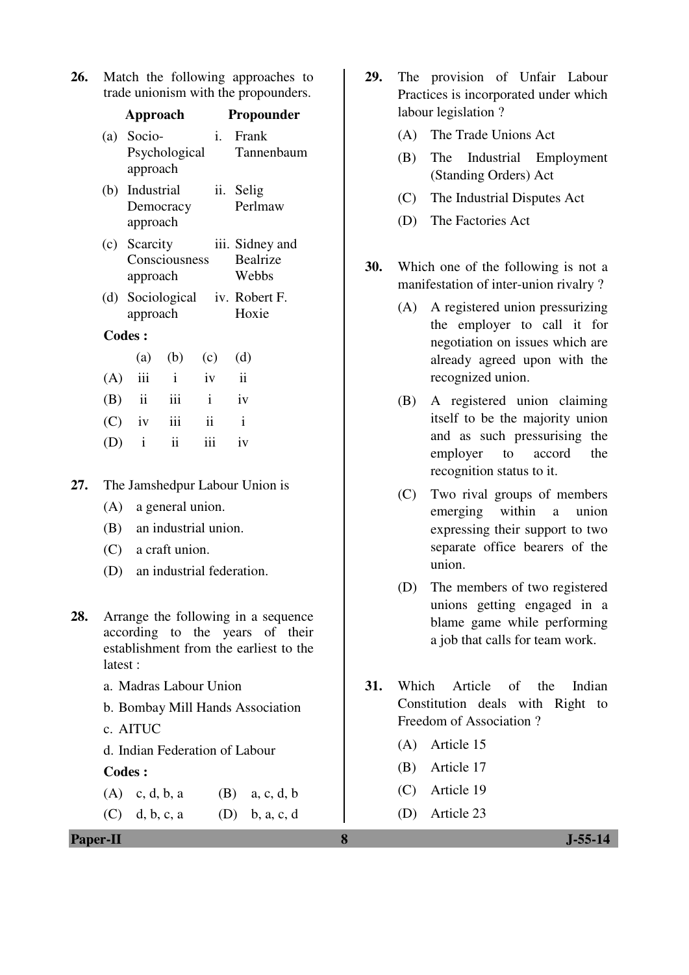| 26. | Match the following approaches to    |  |
|-----|--------------------------------------|--|
|     | trade unionism with the propounders. |  |

|     | Approach                                   |  |             |              | Propounder                         |
|-----|--------------------------------------------|--|-------------|--------------|------------------------------------|
|     | (a) Socio-<br>approach                     |  |             | i.<br>Frank  | Psychological Tannenbaum           |
|     | (b) Industrial<br>Democracy<br>approach    |  |             | ii. Selig    | Perlmaw                            |
|     | (c) Scarcity<br>Consciousness<br>approach  |  |             | Webbs        | iii. Sidney and<br><b>Bealrize</b> |
|     | (d) Sociological iv. Robert F.<br>approach |  |             | Hoxie        |                                    |
|     | <b>Codes:</b>                              |  |             |              |                                    |
|     |                                            |  | (a) (b) (c) | (d)          |                                    |
|     | $(A)$ iii i                                |  |             | iv ii        |                                    |
|     | $(B)$ ii iii                               |  |             | $i$ iv       |                                    |
|     | $(C)$ iv iii                               |  | ii          | $\mathbf{i}$ |                                    |
| (D) | $i$ ii                                     |  | iii         | iv           |                                    |

**27.** The Jamshedpur Labour Union is

- (A) a general union.
- (B) an industrial union.
- (C) a craft union.
- (D) an industrial federation.
- **28.** Arrange the following in a sequence according to the years of their establishment from the earliest to the latest :
	- a. Madras Labour Union
	- b. Bombay Mill Hands Association
	- c. AITUC

d. Indian Federation of Labour

#### **Codes :**

(A) c, d, b, a (B) a, c, d, b (C) d, b, c, a (D) b, a, c, d

**Paper-II 8 J-55-14**

- **29.** The provision of Unfair Labour Practices is incorporated under which labour legislation ?
	- (A) The Trade Unions Act
	- (B) The Industrial Employment (Standing Orders) Act
	- (C) The Industrial Disputes Act
	- (D) The Factories Act
- **30.** Which one of the following is not a manifestation of inter-union rivalry ?
	- (A) A registered union pressurizing the employer to call it for negotiation on issues which are already agreed upon with the recognized union.
	- (B) A registered union claiming itself to be the majority union and as such pressurising the employer to accord the recognition status to it.
	- (C) Two rival groups of members emerging within a union expressing their support to two separate office bearers of the union.
	- (D) The members of two registered unions getting engaged in a blame game while performing a job that calls for team work.
- **31.** Which Article of the Indian Constitution deals with Right to Freedom of Association ?
	- (A) Article 15
	- (B) Article 17
	- (C) Article 19
	- (D) Article 23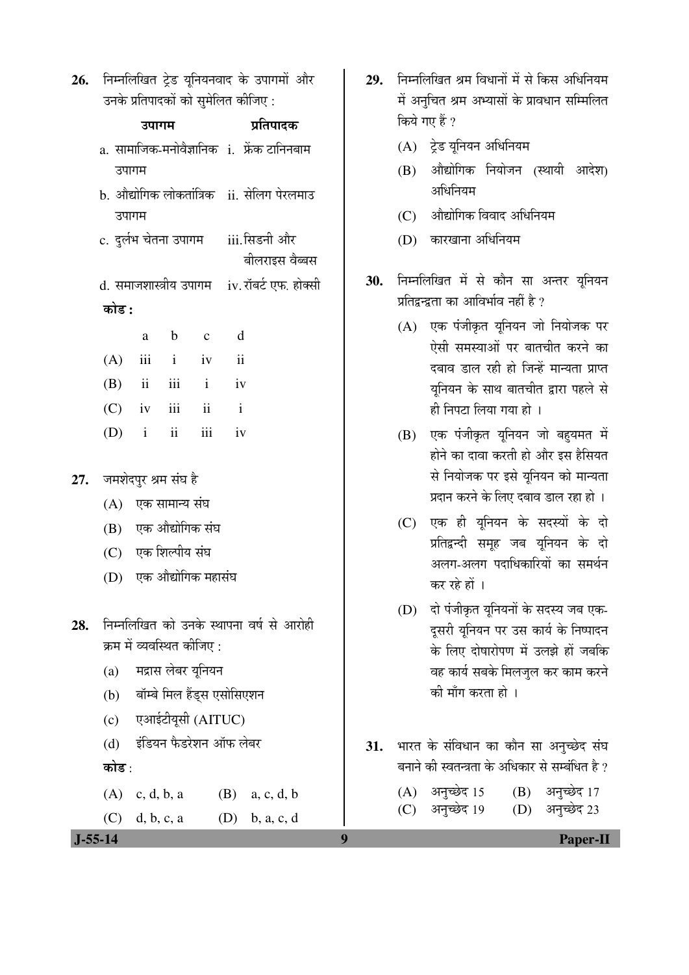26. निम्नलिखित ट्रेड यूनियनवाद के उपागमों और उनके प्रतिपादकों को सुमेलित कीजिए :

|                             | उपागम                                      |                                             |                   |  | प्रतिपादक                                                |    |
|-----------------------------|--------------------------------------------|---------------------------------------------|-------------------|--|----------------------------------------------------------|----|
|                             | a. सामाजिक-मनोवैज्ञानिक i. फ्रेंक टानिनबाम |                                             |                   |  |                                                          |    |
|                             | उपागम                                      |                                             |                   |  |                                                          |    |
|                             |                                            |                                             |                   |  | b. औद्योगिक लोकतांत्रिक ii. सेलिग पेरलमाउ                |    |
|                             | उपागम                                      |                                             |                   |  |                                                          |    |
|                             |                                            |                                             |                   |  | c. दुर्लभ चेतना उपागम     iii.सिडनी और<br>बीलराइस वैब्बस |    |
|                             |                                            |                                             |                   |  | d. समाजशास्त्रीय उपागम    iv. रॉबर्ट एफ. होक्सी          | 30 |
| कोड :                       |                                            |                                             |                   |  |                                                          |    |
|                             | a                                          |                                             | b c d             |  |                                                          |    |
|                             |                                            |                                             | $(A)$ iii i iv ii |  |                                                          |    |
|                             |                                            |                                             | $(B)$ ii iii i iv |  |                                                          |    |
|                             |                                            |                                             | $(C)$ iv iii ii i |  |                                                          |    |
|                             |                                            |                                             | $(D)$ i ii iii iv |  |                                                          |    |
|                             |                                            |                                             |                   |  |                                                          |    |
| 27.    जमशेदपुर श्रम संघ है |                                            |                                             |                   |  |                                                          |    |
|                             |                                            | (A) एक सामान्य संघ                          |                   |  |                                                          |    |
|                             |                                            | (B) एक औद्योगिक संघ                         |                   |  |                                                          |    |
|                             | (C) एक शिल्पीय संघ                         |                                             |                   |  |                                                          |    |
|                             | (D) एक औद्योगिक महासंघ                     |                                             |                   |  |                                                          |    |
|                             |                                            |                                             |                   |  |                                                          |    |
|                             |                                            |                                             |                   |  | <b>28.</b> निम्नलिखित को उनके स्थापना वर्ष से आरोही      |    |
| (a)                         | क्रम में व्यवस्थित कीजिए :                 |                                             |                   |  |                                                          |    |
|                             | मद्रास लेबर युनियन                         |                                             |                   |  |                                                          |    |
| (c)                         | (b) बॉम्बे मिल हैंड्स एसोसिएशन             |                                             |                   |  |                                                          |    |
| (d)                         |                                            | एआईटीयूसी (AITUC)<br>इंडियन फैडरेशन ऑफ लेबर |                   |  |                                                          |    |
| कोड :                       |                                            |                                             |                   |  |                                                          | 31 |
|                             |                                            |                                             |                   |  |                                                          |    |
| (A)                         | c, d, b, a                                 |                                             |                   |  | $(B)$ a, c, d, b                                         |    |
|                             | $(C)$ d, b, c, a                           |                                             |                   |  | $(D)$ b, a, c, d                                         |    |

- 29. निम्नलिखित श्रम विधानों में से किस अधिनियम में अनुचित श्रम अभ्यासों के प्रावधान सम्मिलित किये गए हैं ?
	- $(A)$  ट्रेड यूनियन अधिनियम
	- (B) औद्योगिक नियोजन (स्थायी आदेश) अधिनियम
	- $(C)$  औद्योगिक विवाद अधिनियम
	- $(D)$  कारखाना अधिनियम
- िनम्नलिखित में से कौन सा अन्तर यूनियन प्रतिद्वन्द्वता का आविर्भाव नहीं है ?
	- (A) एक पंजीकृत युनियन जो नियोजक पर ऐसी समस्याओं पर बातचीत करने का दबाव डाल रही हो जिन्हें मान्यता प्राप्त यूनियन के साथ बातचीत द्वारा पहले से ही निपटा लिया गया हो ।
	- $(B)$  एक पंजीकृत यूनियन जो बहुयमत में होने का दावा करती हो और इस हैसियत से नियोजक पर इसे युनियन को मान्यता प्रदान करने के लिए दबाव डाल रहा हो ।
	- (C) एक ही यूनियन के सदस्यों के दो प्रतिद्वन्दी समूह जब यूनियन के दो अलग-अलग पदाधिकारियों का समर्थन कर रहे हों ।
	- (D) दो पंजीकृत यूनियनों के सदस्य जब एक-दूसरी यूनियन पर उस कार्य के निष्पादन के लिए दोषारोपण में उलझे हों जबकि वह कार्य सबके मिलजुल कर काम करने की माँग करता हो ।
- <u>भारत के संविधान का कौन सा अनुच्छे</u>द संघ बनाने की स्वतन्त्रता के अधिकार से सम्बंधित है ?

| (A) अनुच्छेद 15 (B) अनुच्छेद 17 |                 |
|---------------------------------|-----------------|
| (C) अनुच्छेद 19                 | (D) अनुच्छेद 23 |

 **J-55-14 9 Paper-II**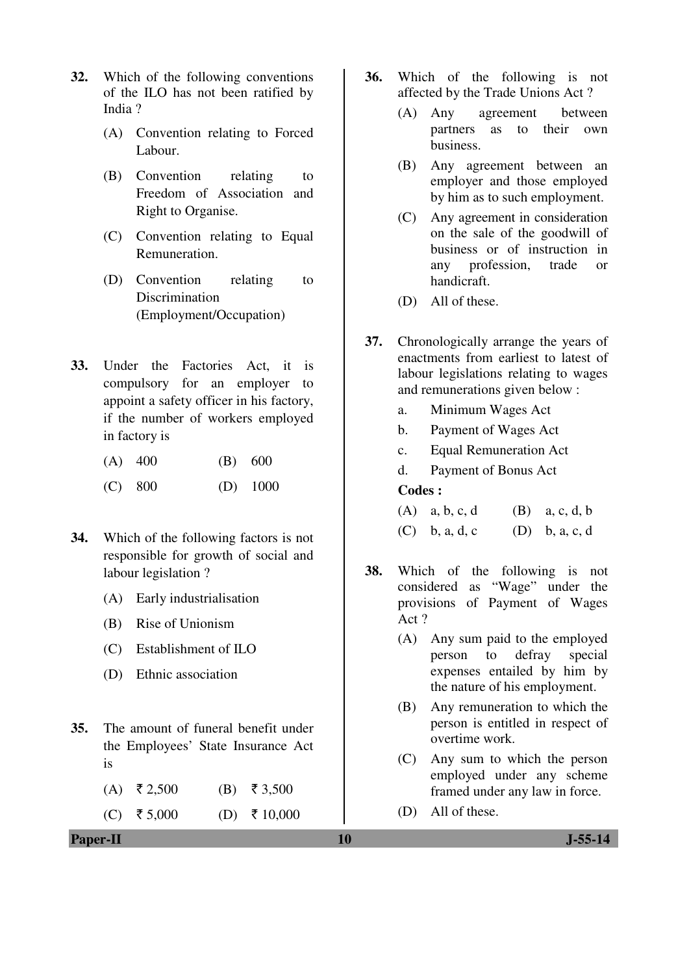- **32.** Which of the following conventions of the ILO has not been ratified by India ?
	- (A) Convention relating to Forced Labour.
	- (B) Convention relating to Freedom of Association and Right to Organise.
	- (C) Convention relating to Equal Remuneration.
	- (D) Convention relating to Discrimination (Employment/Occupation)
- **33.** Under the Factories Act, it is compulsory for an employer to appoint a safety officer in his factory, if the number of workers employed in factory is
	- (A) 400 (B) 600
	- (C) 800 (D) 1000
- **34.** Which of the following factors is not responsible for growth of social and labour legislation ?
	- (A) Early industrialisation
	- (B) Rise of Unionism
	- (C) Establishment of ILO
	- (D) Ethnic association
- **35.** The amount of funeral benefit under the Employees' State Insurance Act is
	- $(A)$  ₹ 2,500 (B) ₹ 3,500

(C) ₹5,000 (D) ₹10,000

**Paper-II** J-55-14

- **36.** Which of the following is not affected by the Trade Unions Act ?
	- (A) Any agreement between partners as to their own business.
	- (B) Any agreement between an employer and those employed by him as to such employment.
	- (C) Any agreement in consideration on the sale of the goodwill of business or of instruction in any profession, trade or handicraft.
	- (D) All of these.
- **37.** Chronologically arrange the years of enactments from earliest to latest of labour legislations relating to wages and remunerations given below :
	- a. Minimum Wages Act
	- b. Payment of Wages Act
	- c. Equal Remuneration Act
	- d. Payment of Bonus Act

| $(A)$ a, b, c, d | $(B)$ a, c, d, b |
|------------------|------------------|
| $(C)$ b, a, d, c | $(D)$ b, a, c, d |

- **38.** Which of the following is not considered as "Wage" under the provisions of Payment of Wages Act ?
	- (A) Any sum paid to the employed person to defray special expenses entailed by him by the nature of his employment.
	- (B) Any remuneration to which the person is entitled in respect of overtime work.
	- (C) Any sum to which the person employed under any scheme framed under any law in force.
	- (D) All of these.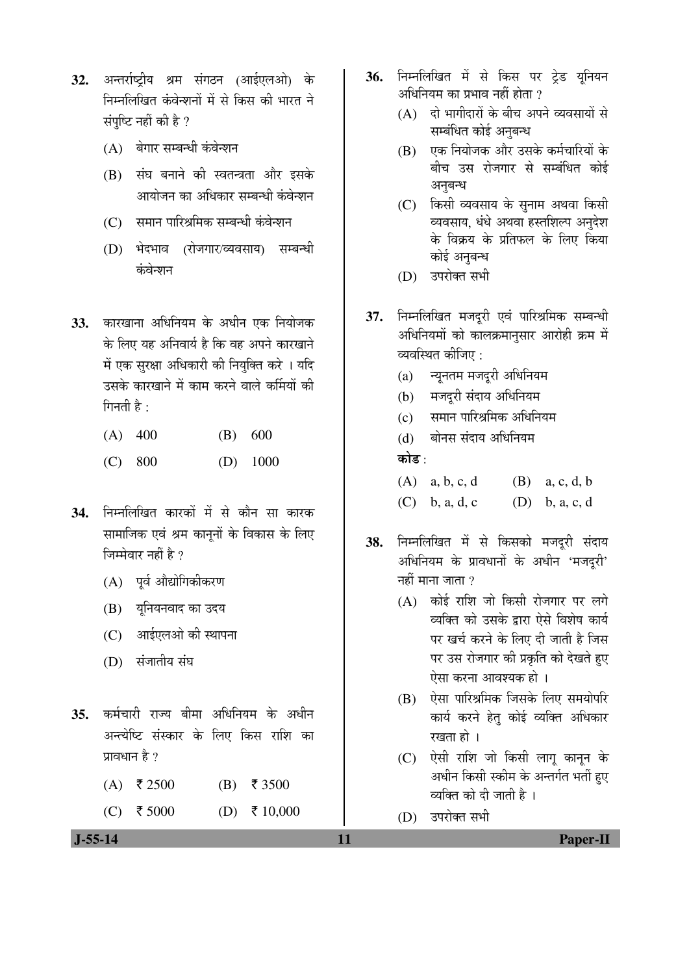- **32.** अन्तर्राष्ट्रीय श्रम संगठन (आईएलओ) के निम्नलिखित कंवेन्शनों में से किस की भारत ने संपष्टि नहीं की है ?
	- (A) बेगार सम्बन्धी कंवेन्शन
	- (B) संघ बनाने की स्वतन्त्रता और इसके आयोजन का अधिकार सम्बन्धी कंवेन्शन
	- (C) समान पारिश्रमिक सम्बन्धी कंवेन्शन
	- (D) भेदभाव (रोजगार/व्यवसाय) सम्बन्धी कंवेन्शन
- 33. कारखाना अधिनियम के अधीन एक नियोजक के लिए यह अनिवार्य है कि वह अपने कारखाने में एक सुरक्षा अधिकारी की नियुक्ति करे । यदि उसके कारखाने में काम करने वाले कर्मियों की गिनती है $\cdot$ 
	- (A) 400 (B) 600
	- (C) 800 (D) 1000
- **34.** निम्नलिखित कारकों में से कौन सा कारक सामाजिक एवं श्रम कानूनों के विकास के लिए जिम्मेवार नहीं है ?
	- $(A)$  पर्व औद्योगिकीकरण
	- (B) यूनियनवाद का उदय
	- (C) आईएलओ की स्थापना
	- (D) संजातीय संघ
- 35. कर्मचारी राज्य बीमा अधिनियम के अधीन अन्त्येष्टि संस्कार के लिए किस राशि का प्रावधान है ?
	- $(A)$  ₹ 2500 (B) ₹ 3500
	- (C) ₹ 5000 (D) ₹ 10,000
- 36. निम्नलिखित में से किस पर टेड यनियन अधिनियम का प्रभाव नहीं होता ?
	- $(A)$  दो भागीदारों के बीच अपने व्यवसायों से सम्बंधित कोई अनुबन्ध
	- (B) एक नियोजक और उसके कर्मचारियों के बीच उस रोजगार से सम्बंधित कोई अनुबन्ध
	- (C) किसी व्यवसाय के सुनाम अथवा किसी व्यवसाय, धंधे अथवा हस्तशिल्प अनुदेश के विक्रय के प्रतिफल के लिए किया कोई अनुबन्ध
	- (D) उपरोक्त सभी
- 37. निम्नलिखित मजदूरी एवं पारिश्रमिक सम्बन्धी अधिनियमों को कालक्रमानुसार आरोही क्रम में व्यवस्थित कीजिए :
	- $(a)$  न्युनतम मजदुरी अधिनियम
	- (b) मजदूरी संदाय अधिनियम
	- (c) समान पारिश्रमिक अधिनियम

(d) बोनस संदाय अधिनियम कोड :

- (A) a, b, c, d (B) a, c, d, b (C) b, a, d, c  $(D)$  b, a, c, d
- 38. निम्नलिखित में से किसको मजदरी संदाय अधिनियम के प्रावधानों के अधीन 'मजदूरी' नहीं माना जाता  $\overline{v}$ 
	- $(A)$  कोई राशि जो किसी रोजगार पर लगे व्यक्ति को उसके द्वारा ऐसे विशेष कार्य पर खर्च करने के लिए दी जाती है जिस पर उस रोजगार की प्रकृति को देखते हए ऐसा करना आवश्यक हो ।
	- $(B)$  पेसा पारिश्रमिक जिसके लिए समयोपरि कार्य करने हेतु कोई व्यक्ति अधिकार रखता हो ।
	- (C) ऐसी राशि जो किसी लागू कानून के अधीन किसी स्कीम के अन्तर्गत भर्ती हुए <u>व्यक्ति को दी जाती है</u> ।
	- $(D)$   $\bar{c}$ उपरोक्त सभी

 **J-55-14 11 Paper-II**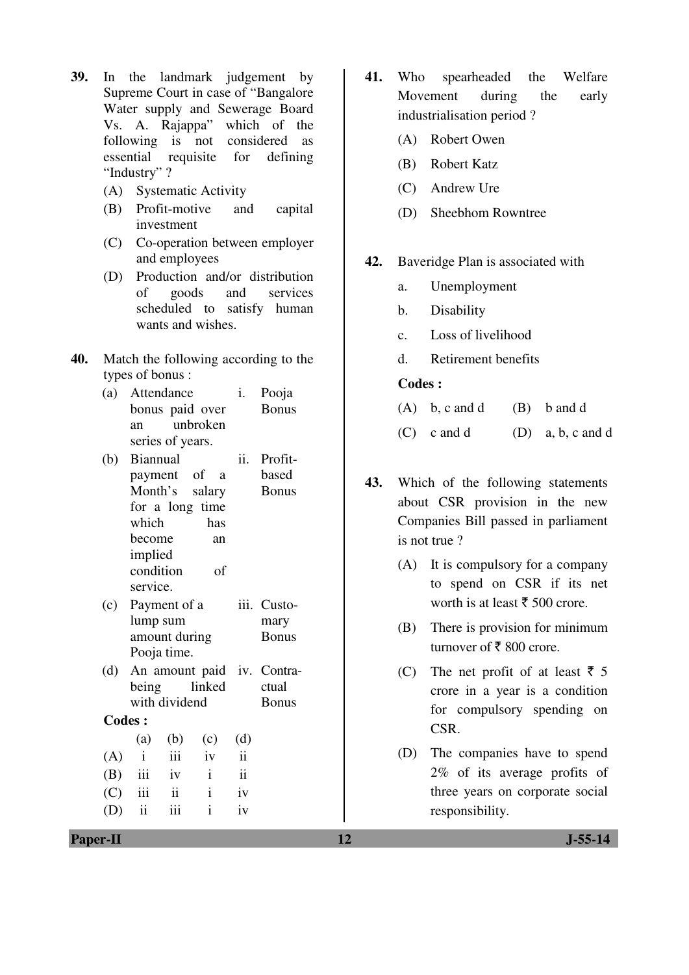- **39.** In the landmark judgement by Supreme Court in case of "Bangalore Water supply and Sewerage Board Vs. A. Rajappa" which of the following is not considered as essential requisite for defining "Industry" ?
	- (A) Systematic Activity
	- (B) Profit-motive and capital investment
	- (C) Co-operation between employer and employees
	- (D) Production and/or distribution of goods and services scheduled to satisfy human wants and wishes.
- **40.** Match the following according to the types of bonus :
	- (a) Attendance bonus paid over an unbroken series of years. i. Pooja Bonus
	- (b) Biannual payment of a Month's salary for a long time which has become an implied condition of service. ii. Profitbased Bonus
	- (c) Payment of a lump sum amount during Pooja time. iii. Customary Bonus
	- (d) An amount paid iv. Contrabeing linked with dividend ctual Bonus

 **Codes :** 

|              | (a) (b) (c) (d) |              |                          |
|--------------|-----------------|--------------|--------------------------|
|              | $(A)$ i iii iv  |              | $\overline{\mathbf{ii}}$ |
|              | $(B)$ iii iv i  |              | $\overline{\mathbf{u}}$  |
| $(C)$ iii ii |                 | $\mathbf{i}$ | iv                       |
| $(D)$ ii iii |                 | $\mathbf{i}$ | iv                       |

- **41.** Who spearheaded the Welfare Movement during the early industrialisation period ?
	- (A) Robert Owen
	- (B) Robert Katz
	- (C) Andrew Ure
	- (D) Sheebhom Rowntree
- **42.** Baveridge Plan is associated with
	- a. Unemployment
	- b. Disability
	- c. Loss of livelihood
	- d. Retirement benefits

- $(A)$  b, c and d  $(B)$  b and d
- $(C)$  c and d  $(D)$  a, b, c and d
- **43.** Which of the following statements about CSR provision in the new Companies Bill passed in parliament is not true ?
	- (A) It is compulsory for a company to spend on CSR if its net worth is at least  $\bar{\tau}$  500 crore.
	- (B) There is provision for minimum turnover of  $\bar{\tau}$  800 crore.
	- (C) The net profit of at least  $\bar{z}$  5 crore in a year is a condition for compulsory spending on CSR.
	- (D) The companies have to spend 2% of its average profits of three years on corporate social responsibility.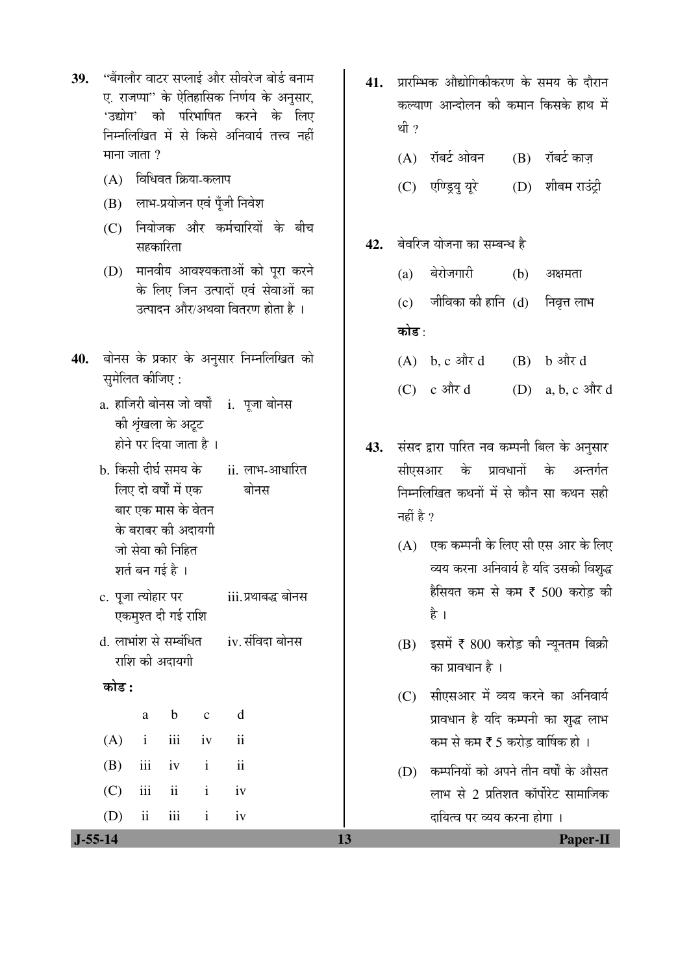- 39. <u>"बैंगलौर वाटर सप्लाई और सीवरेज बोर्ड बना</u>म ए. राजप्पा" के ऐतिहासिक निर्णय के अनुसार, 'उद्योग' को परिभाषित करने के लिए निम्नलिखित में से किसे अनिवार्य तत्त्व नहीं माना $\overline{S}$ ाला $\overline{S}$ 
	- $(A)$  विधिवत क्रिया-कलाप
	- $(B)$  लाभ-प्रयोजन एवं पूँजी निवेश
	- $(C)$  नियोजक और कर्मचारियों के बीच सहकारिता
	- (D) मानवीय आवश्यकताओं को पूरा करने के लिए जिन उत्पादों एवं सेवाओं का उत्पादन और/अथवा वितरण होता है ।
- 40. बोनस के प्रकार के अनुसार निम्नलिखित को समेलित कीजिए :
	- a. हाजिरी बोनस जो वर्षों i. पूजा बोनस की श्रृंखला के अट्ट होने पर दिया जाता है ।
	- b. किसी दीर्घ समय के लिए दो वर्षों में एक बार एक मास के वेतन के बराबर की अदायगी जो सेवा की निहित शतं बन गई है । ii. लाभ-आधारित बोनस
	- c. पूजा त्योह एकमुश गोनस
	- d. लाभांश राशि क नस

a b c d

 $(A)$  i iii iv ii

(B) iii iv i ii

 $(C)$  iii ii i iv

(D) ii iii i iv

#### 󜅐ݟ **:**

| गालार पर                     | III.પ્રવાષસ્ <sub>ર</sub> ષ |
|------------------------------|-----------------------------|
| त दी गई राशि                 |                             |
| ा से सम्बंधित<br>न्री अदायगी | iv. संविदा बो               |
|                              |                             |

- **41.** प्रारम्भिक औद्योगिकीकरण के समय के दौरान कल्याण आन्दोलन की कमान किसके हाथ में थी $, 2$ 
	- $(A)$  रॉबर्ट ओवन  $(B)$  रॉबर्ट काज
	- (C) एण्ड्रियु यूरे (D) शीबम राउंट्री
- 42. बेवरिज योजना का सम्बन्ध है
	- (a) बेरोजगारी (b) अक्षमता
	- $(c)$  जीविका की हानि  $(d)$  निवृत्त लाभ कोड :
	- $(A)$  b, c और d  $(B)$  b और d
	- $(C)$  c और d  $(D)$  a, b, c और d
- 43. संसद द्वारा पारित नव कम्पनी बिल के अनुसार सीएसआर के प्रावधानों के अन्तर्गत निम्नलिखित कथनों में से कौन सा कथन सही नहीं है  $\overline{?}$ 
	- $(A)$  एक कम्पनी के लिए सी एस आर के लिए व्यय करना अनिवार्य है यदि उसकी विशुद्ध हैसियत कम से कम ₹ 500 करोड़ की है ।
	- (B) इसमें ₹ 800 करोड़ की न्यूनतम बिक्री का प्रावधान है ।
	- $(C)$  सीएसआर में व्यय करने का अनिवार्य प्रावधान है यदि कम्पनी का शुद्ध लाभ कम से कम  $\xi$  5 करोड वार्षिक हो ।
	- $(D)$  कम्पनियों को अपने तीन वर्षों के औसत लाभ से 2 प्रतिशत कॉर्पोरेट सामाजिक दायित्व पर व्यय करना होगा ।

 **J-55-14 13 Paper-II**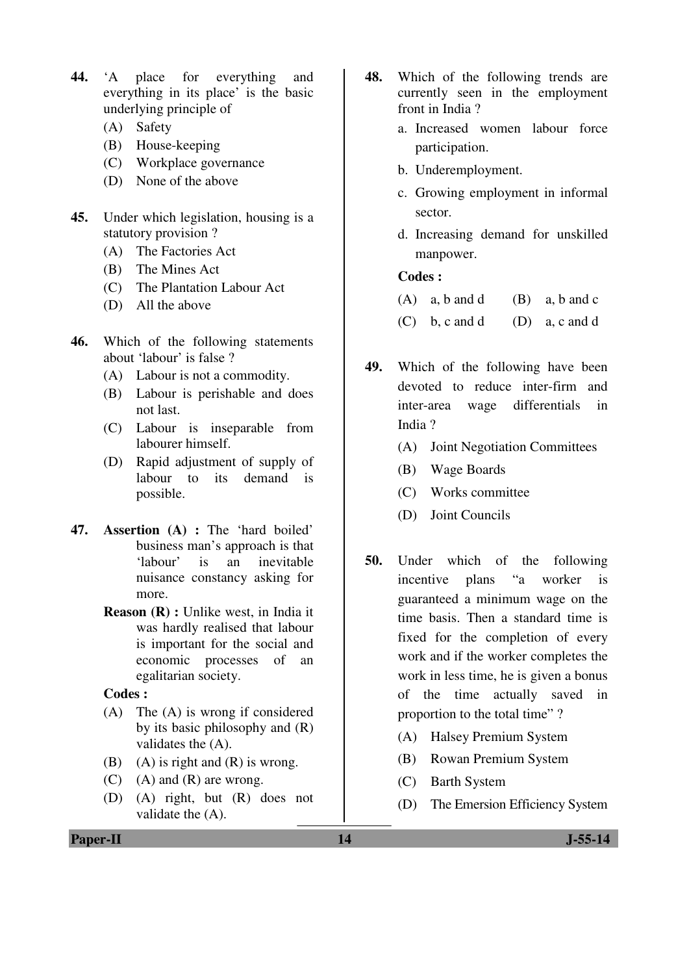- **44.** 'A place for everything and everything in its place' is the basic underlying principle of
	- (A) Safety
	- (B) House-keeping
	- (C) Workplace governance
	- (D) None of the above
- **45.** Under which legislation, housing is a statutory provision ?
	- (A) The Factories Act
	- (B) The Mines Act
	- (C) The Plantation Labour Act
	- (D) All the above
- **46.** Which of the following statements about 'labour' is false ?
	- (A) Labour is not a commodity.
	- (B) Labour is perishable and does not last.
	- (C) Labour is inseparable from labourer himself.
	- (D) Rapid adjustment of supply of labour to its demand is possible.
- **47. Assertion (A) :** The 'hard boiled' business man's approach is that 'labour' is an inevitable nuisance constancy asking for more.
	- **Reason (R) :** Unlike west, in India it was hardly realised that labour is important for the social and economic processes of an egalitarian society.

#### **Codes :**

- (A) The (A) is wrong if considered by its basic philosophy and (R) validates the (A).
- (B) (A) is right and  $(R)$  is wrong.
- $(C)$  (A) and  $(R)$  are wrong.
- (D) (A) right, but (R) does not validate the (A).
- **48.** Which of the following trends are currently seen in the employment front in India ?
	- a. Increased women labour force participation.
	- b. Underemployment.
	- c. Growing employment in informal sector.
	- d. Increasing demand for unskilled manpower.

- $(A)$  a, b and d  $(B)$  a, b and c
- $(C)$  b, c and d  $(D)$  a, c and d
- **49.** Which of the following have been devoted to reduce inter-firm and inter-area wage differentials in India ?
	- (A) Joint Negotiation Committees
	- (B) Wage Boards
	- (C) Works committee
	- (D) Joint Councils
- **50.** Under which of the following incentive plans "a worker is guaranteed a minimum wage on the time basis. Then a standard time is fixed for the completion of every work and if the worker completes the work in less time, he is given a bonus of the time actually saved in proportion to the total time" ?
	- (A) Halsey Premium System
	- (B) Rowan Premium System
	- (C) Barth System
	- (D) The Emersion Efficiency System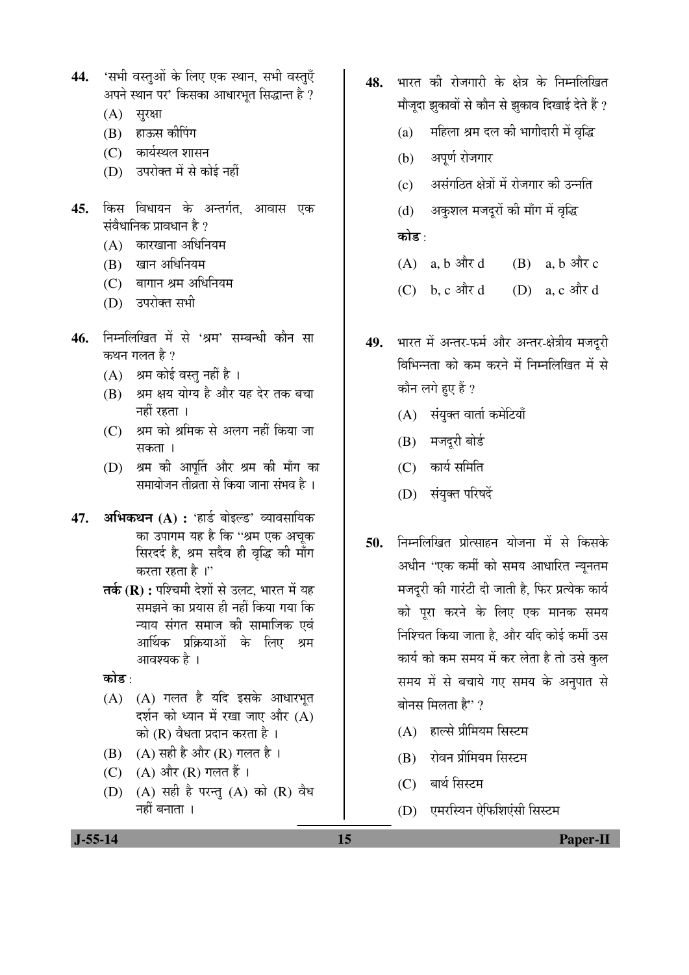- 44. 'सभी वस्तुओं के लिए एक स्थान, सभी वस्त्**एँ** अपने स्थान पर' किसका आधारभुत सिद्धान्त है ?
	- $(A)$  सुरक्षा
	- (B) हाऊस कीपिंग
	- $(C)$  कार्यस्थल शासन
	- (D) उपरोक्त में से कोई नहीं
- **45.** किस विधायन के अन्तर्गत, आवास एक संवैधानिक प्रावधान है ?
	- $(A)$  कारखाना अधिनियम
	- (B) खान अधिनियम
	- $(C)$  बागान श्रम अधिनियम
	- (D) उपरोक्त सभी
- 46. निम्नलिखित में से 'श्रम' सम्बन्धी कौन सा कथन गलत है $\,$ ?
	- $(A)$  श्रम कोई वस्तु नहीं है ।
	- (B) श्रम क्षय योग्य है और यह देर तक बचा नहीं रहता ।
	- (C) श्रम को श्रमिक से अलग नहीं किया जा सकता ।
	- (D) श्रम की आपूर्ति और श्रम की माँग का समायोजन तीव्रता से किया जाना संभव है ।
- 47. **अभिकथन (A) :** 'हार्ड बोइल्ड' व्यावसायिक का उपागम यह है कि "श्रम एक अचुक सिरदर्द है, श्रम सदैव ही वृद्धि की माँग करता रहता है ।''
	- **तर्क (R) :** पश्चिमी देशों से उलट, भारत में यह समझने का प्रयास ही नहीं किया गया कि न्याय संगत समाज की सामाजिक एवं आर्थिक प्रक्रियाओं के लिए श्रम आवश्यक है ।
	- कोड :
	- $(A)$   $(A)$  गलत है यदि इसके आधारभूत दर्शन को ध्यान में रखा जाए और  $(A)$ को  $(R)$  वैधता प्रदान करता है।
	- (B)  $(A)$  सही है और (R) गलत है ।
	- (C) (A) और (R) गलत हैं।
	- (D)  $(A)$  सही है परन्त  $(A)$  को  $(R)$  वैध नहीं बनाता ।
- 48. भारत की रोजगारी के क्षेत्र के निम्नलिखित मौजूदा झुकावों से कौन से झुकाव दिखाई देते हैं ?
	- (a) महिला श्रम दल की भागीदारी में वृद्धि
	- (b) अपूर्ण रोजगार
	- (c) असंगठित क्षेत्रों में रोजगार की उन्नति
	- (d) । अकशल मजदरों की माँग में वृद्धि कोड़ $\cdot$
	- $(A)$  a, b  $\frac{d}{dx}d$  (B) a, b  $\frac{d}{dx}c$
	- $(C)$  b, c  $\frac{3\pi}{d}$  d  $(D)$  a, c  $\frac{3\pi}{d}$  d
- 49. भारत में अन्तर-फर्म और अन्तर-क्षेत्रीय मजदूरी विभिन्नता को कम करने में निम्नलिखित में से कौन लगे हए हैं ?
	- $(A)$  संयुक्त वार्ता कमेटियाँ
	- (B) मजदूरी बोर्ड
	- $(C)$  कार्य समिति
	- (D) संयुक्त परिषदें
- **50.** निम्नलिखित प्रोत्साहन योजना में से किसके अधीन ''एक कर्मी को समय आधारित न्यनतम मजदरी की गारंटी दी जाती है. फिर प्रत्येक कार्य को परा करने के लिए एक मानक समय निश्चित किया जाता है, और यदि कोई कर्मी उस कार्य को कम समय में कर लेता है तो उसे कुल समय में से बचाये गए समय के अनुपात से बोनस मिलता है $"\,$ 
	- (A) हाल्से प्रीमियम सिस्टम
	- $(B)$  रोवन प्रीमियम सिस्टम
	- (C) बार्थ सिस्टम
	- (D) एमरस्थिन ऐफिशिएंसी सिस्टम